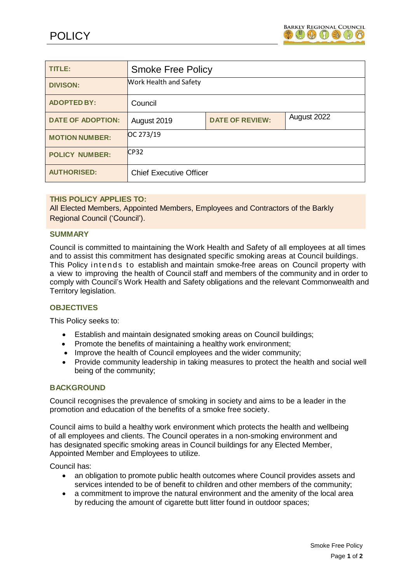

| <b>TITLE:</b>            | <b>Smoke Free Policy</b>       |                        |             |
|--------------------------|--------------------------------|------------------------|-------------|
| <b>DIVISON:</b>          | <b>Work Health and Safety</b>  |                        |             |
| <b>ADOPTED BY:</b>       | Council                        |                        |             |
| <b>DATE OF ADOPTION:</b> | August 2019                    | <b>DATE OF REVIEW:</b> | August 2022 |
| <b>MOTION NUMBER:</b>    | OC 273/19                      |                        |             |
| <b>POLICY NUMBER:</b>    | CP32                           |                        |             |
| <b>AUTHORISED:</b>       | <b>Chief Executive Officer</b> |                        |             |

## **THIS POLICY APPLIES TO:**

All Elected Members, Appointed Members, Employees and Contractors of the Barkly Regional Council ('Council').

### **SUMMARY**

Council is committed to maintaining the Work Health and Safety of all employees at all times and to assist this commitment has designated specific smoking areas at Council buildings. This Policy intends to establish and maintain smoke-free areas on Council property with a view to improving the health of Council staff and members of the community and in order to comply with Council's Work Health and Safety obligations and the relevant Commonwealth and Territory legislation.

### **OBJECTIVES**

This Policy seeks to:

- Establish and maintain designated smoking areas on Council buildings;
- Promote the benefits of maintaining a healthy work environment;
- Improve the health of Council employees and the wider community;
- Provide community leadership in taking measures to protect the health and social well being of the community;

### **BACKGROUND**

Council recognises the prevalence of smoking in society and aims to be a leader in the promotion and education of the benefits of a smoke free society.

Council aims to build a healthy work environment which protects the health and wellbeing of all employees and clients. The Council operates in a non-smoking environment and has designated specific smoking areas in Council buildings for any Elected Member, Appointed Member and Employees to utilize.

Council has:

- an obligation to promote public health outcomes where Council provides assets and services intended to be of benefit to children and other members of the community;
- a commitment to improve the natural environment and the amenity of the local area by reducing the amount of cigarette butt litter found in outdoor spaces;